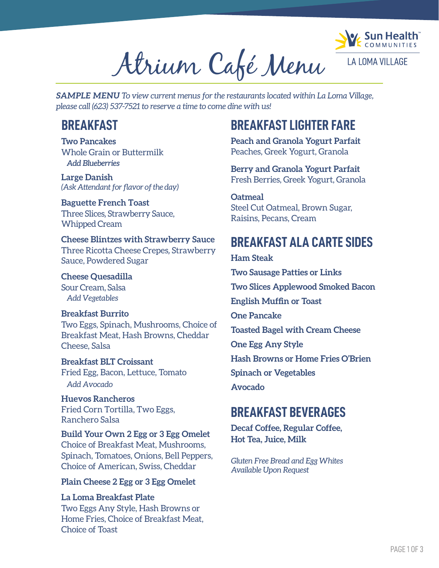

Atrium Café Menu

*SAMPLE MENU To view current menus for the restaurants located within La Loma Village, please call (623) 537-7521 to reserve a time to come dine with us!*

**Two Pancakes** Whole Grain or Buttermilk *Add Blueberries*

**Large Danish**  *(Ask Attendant for flavor of the day)* 

**Baguette French Toast** Three Slices, Strawberry Sauce, Whipped Cream

**Cheese Blintzes with Strawberry Sauce** Three Ricotta Cheese Crepes, Strawberry Sauce, Powdered Sugar

**Cheese Quesadilla** Sour Cream, Salsa

*Add Vegetables*

Cheese, Salsa

#### **Breakfast Burrito** Two Eggs, Spinach, Mushrooms, Choice of Breakfast Meat, Hash Browns, Cheddar

*Add Avocado* **Breakfast BLT Croissant** Fried Egg, Bacon, Lettuce, Tomato

**Huevos Rancheros** Fried Corn Tortilla, Two Eggs, Ranchero Salsa

**Build Your Own 2 Egg or 3 Egg Omelet** Choice of Breakfast Meat, Mushrooms, Spinach, Tomatoes, Onions, Bell Peppers, Choice of American, Swiss, Cheddar

**Plain Cheese 2 Egg or 3 Egg Omelet**

**La Loma Breakfast Plate** Two Eggs Any Style, Hash Browns or Home Fries, Choice of Breakfast Meat, Choice of Toast

## **BREAKFAST BREAKFAST LIGHTER FARE**

**Peach and Granola Yogurt Parfait**  Peaches, Greek Yogurt, Granola

**Berry and Granola Yogurt Parfait** Fresh Berries, Greek Yogurt, Granola

**Oatmeal** Steel Cut Oatmeal, Brown Sugar, Raisins, Pecans, Cream

### **BREAKFAST ALA CARTE SIDES**

**Ham Steak Two Sausage Patties or Links Two Slices Applewood Smoked Bacon English Muffin or Toast One Pancake Toasted Bagel with Cream Cheese One Egg Any Style Hash Browns or Home Fries O'Brien Spinach or Vegetables Avocado**

#### **BREAKFAST BEVERAGES**

**Decaf Coffee, Regular Coffee, Hot Tea, Juice, Milk**

*Gluten Free Bread and Egg Whites Available Upon Request*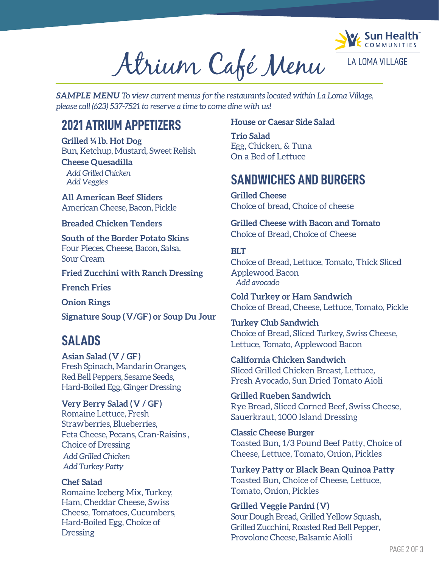

Atrium Café Menu

*SAMPLE MENU To view current menus for the restaurants located within La Loma Village, please call (623) 537-7521 to reserve a time to come dine with us!*

#### **2021 ATRIUM APPETIZERS**

**Grilled ¼ lb. Hot Dog** Bun, Ketchup, Mustard, Sweet Relish

**Cheese Quesadilla**  *Add Grilled Chicken Add Veggies*

**All American Beef Sliders** American Cheese, Bacon, Pickle

**Breaded Chicken Tenders**

**South of the Border Potato Skins** Four Pieces, Cheese, Bacon, Salsa, Sour Cream

**Fried Zucchini with Ranch Dressing**

**French Fries**

**Onion Rings**

**Signature Soup ( V/GF ) or Soup Du Jour**

#### **SALADS**

**Asian Salad (V / GF)** Fresh Spinach, Mandarin Oranges, Red Bell Peppers, Sesame Seeds, Hard-Boiled Egg, Ginger Dressing

**Very Berry Salad (V / GF)** Romaine Lettuce, Fresh Strawberries, Blueberries, Feta Cheese, Pecans, Cran-Raisins , Choice of Dressing *Add Grilled Chicken Add Turkey Patty*

**Chef Salad** Romaine Iceberg Mix, Turkey, Ham, Cheddar Cheese, Swiss Cheese, Tomatoes, Cucumbers, Hard-Boiled Egg, Choice of **Dressing** 

#### **House or Caesar Side Salad**

**Trio Salad** Egg, Chicken, & Tuna On a Bed of Lettuce

#### **SANDWICHES AND BURGERS**

**Grilled Cheese** Choice of bread, Choice of cheese

**Grilled Cheese with Bacon and Tomato** Choice of Bread, Choice of Cheese

#### **BLT**

Choice of Bread, Lettuce, Tomato, Thick Sliced Applewood Bacon  *Add avocado*

**Cold Turkey or Ham Sandwich** Choice of Bread, Cheese, Lettuce, Tomato, Pickle

**Turkey Club Sandwich** Choice of Bread, Sliced Turkey, Swiss Cheese, Lettuce, Tomato, Applewood Bacon

**California Chicken Sandwich** Sliced Grilled Chicken Breast, Lettuce, Fresh Avocado, Sun Dried Tomato Aioli

**Grilled Rueben Sandwich** Rye Bread, Sliced Corned Beef, Swiss Cheese, Sauerkraut, 1000 Island Dressing

**Classic Cheese Burger** Toasted Bun, 1/3 Pound Beef Patty, Choice of Cheese, Lettuce, Tomato, Onion, Pickles

**Turkey Patty or Black Bean Quinoa Patty** Toasted Bun, Choice of Cheese, Lettuce, Tomato, Onion, Pickles

**Grilled Veggie Panini (V)** Sour Dough Bread, Grilled Yellow Squash, Grilled Zucchini, Roasted Red Bell Pepper, Provolone Cheese, Balsamic Aiolli